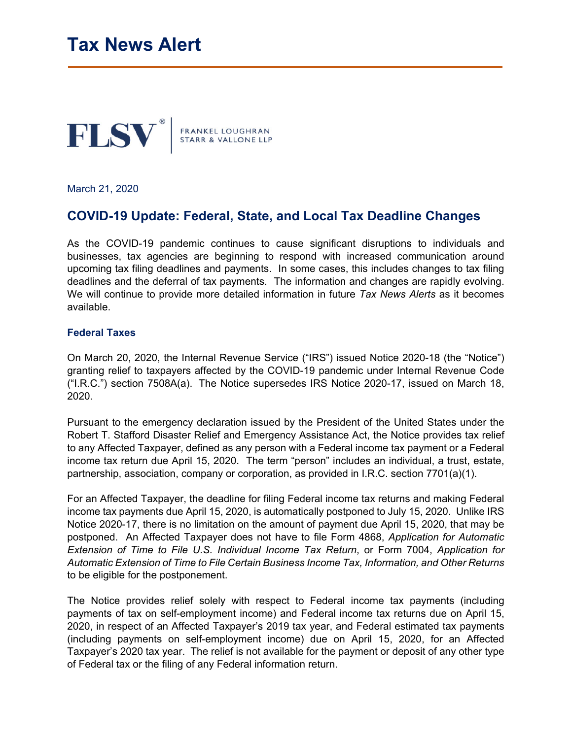

March 21, 2020

## **COVID-19 Update: Federal, State, and Local Tax Deadline Changes**

As the COVID-19 pandemic continues to cause significant disruptions to individuals and businesses, tax agencies are beginning to respond with increased communication around upcoming tax filing deadlines and payments. In some cases, this includes changes to tax filing deadlines and the deferral of tax payments. The information and changes are rapidly evolving. We will continue to provide more detailed information in future *Tax News Alerts* as it becomes available.

## **Federal Taxes**

On March 20, 2020, the Internal Revenue Service ("IRS") issued Notice 2020-18 (the "Notice") granting relief to taxpayers affected by the COVID-19 pandemic under Internal Revenue Code ("I.R.C.") section 7508A(a). The Notice supersedes IRS Notice 2020-17, issued on March 18, 2020.

Pursuant to the emergency declaration issued by the President of the United States under the Robert T. Stafford Disaster Relief and Emergency Assistance Act, the Notice provides tax relief to any Affected Taxpayer, defined as any person with a Federal income tax payment or a Federal income tax return due April 15, 2020. The term "person" includes an individual, a trust, estate, partnership, association, company or corporation, as provided in I.R.C. section 7701(a)(1).

For an Affected Taxpayer, the deadline for filing Federal income tax returns and making Federal income tax payments due April 15, 2020, is automatically postponed to July 15, 2020. Unlike IRS Notice 2020-17, there is no limitation on the amount of payment due April 15, 2020, that may be postponed. An Affected Taxpayer does not have to file Form 4868, *Application for Automatic Extension of Time to File U.S. Individual Income Tax Return*, or Form 7004, *Application for Automatic Extension of Time to File Certain Business Income Tax, Information, and Other Returns* to be eligible for the postponement.

The Notice provides relief solely with respect to Federal income tax payments (including payments of tax on self-employment income) and Federal income tax returns due on April 15, 2020, in respect of an Affected Taxpayer's 2019 tax year, and Federal estimated tax payments (including payments on self-employment income) due on April 15, 2020, for an Affected Taxpayer's 2020 tax year. The relief is not available for the payment or deposit of any other type of Federal tax or the filing of any Federal information return.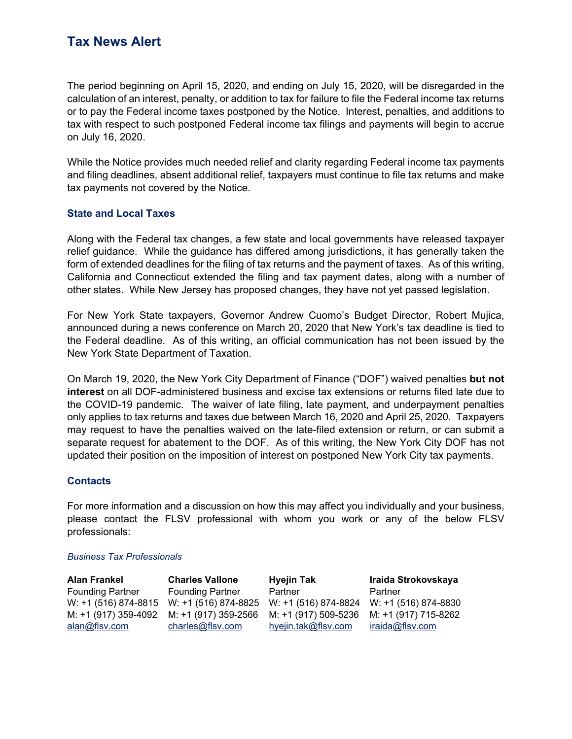# **Tax News Alert**

The period beginning on April 15, 2020, and ending on July 15, 2020, will be disregarded in the calculation of an interest, penalty, or addition to tax for failure to file the Federal income tax returns or to pay the Federal income taxes postponed by the Notice. Interest, penalties, and additions to tax with respect to such postponed Federal income tax filings and payments will begin to accrue on July 16, 2020.

While the Notice provides much needed relief and clarity regarding Federal income tax payments and filing deadlines, absent additional relief, taxpayers must continue to file tax returns and make tax payments not covered by the Notice.

## **State and Local Taxes**

Along with the Federal tax changes, a few state and local governments have released taxpayer relief guidance. While the guidance has differed among jurisdictions, it has generally taken the form of extended deadlines for the filing of tax returns and the payment of taxes. As of this writing, California and Connecticut extended the filing and tax payment dates, along with a number of other states. While New Jersey has proposed changes, they have not yet passed legislation.

For New York State taxpayers, Governor Andrew Cuomo's Budget Director, Robert Mujica, announced during a news conference on March 20, 2020 that New York's tax deadline is tied to the Federal deadline. As of this writing, an official communication has not been issued by the New York State Department of Taxation.

On March 19, 2020, the New York City Department of Finance ("DOF") waived penalties **but not interest** on all DOF-administered business and excise tax extensions or returns filed late due to the COVID-19 pandemic. The waiver of late filing, late payment, and underpayment penalties only applies to tax returns and taxes due between March 16, 2020 and April 25, 2020. Taxpayers may request to have the penalties waived on the late-filed extension or return, or can submit a separate request for abatement to the DOF. As of this writing, the New York City DOF has not updated their position on the imposition of interest on postponed New York City tax payments.

### **Contacts**

For more information and a discussion on how this may affect you individually and your business, please contact the FLSV professional with whom you work or any of the below FLSV professionals:

#### *Business Tax Professionals*

| <b>Alan Frankel</b>     | <b>Charles Vallone</b>                                                              | <b>Hyejin Tak</b>   | Iraida Strokovskaya |
|-------------------------|-------------------------------------------------------------------------------------|---------------------|---------------------|
| <b>Founding Partner</b> | <b>Founding Partner</b>                                                             | Partner             | Partner             |
|                         | W: +1 (516) 874-8815 W: +1 (516) 874-8825 W: +1 (516) 874-8824 W: +1 (516) 874-8830 |                     |                     |
|                         | M: +1 (917) 359-4092 M: +1 (917) 359-2566 M: +1 (917) 509-5236 M: +1 (917) 715-8262 |                     |                     |
| alan@flsv.com           | charles@flsv.com                                                                    | hyejin.tak@flsv.com | iraida@flsv.com     |